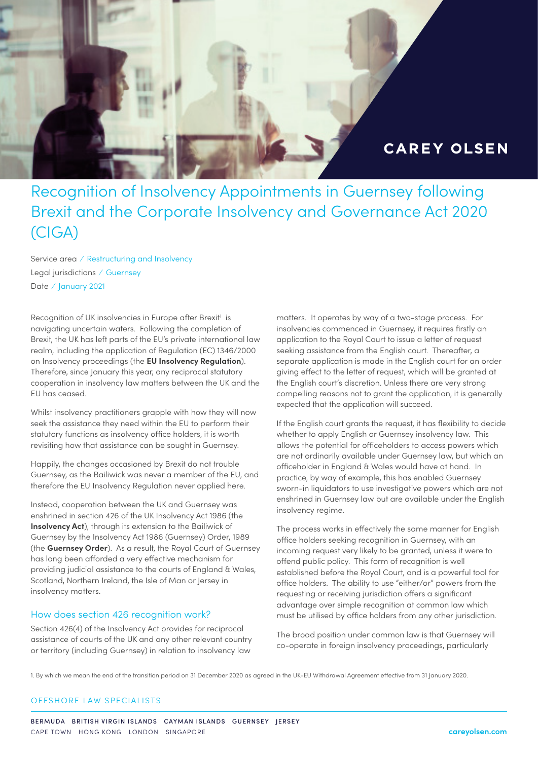

# Recognition of Insolvency Appointments in Guernsey following Brexit and the Corporate Insolvency and Governance Act 2020 (CIGA)

Service area ⁄ Restructuring and Insolvency Legal jurisdictions ⁄ Guernsey Date / January 2021

Recognition of UK insolvencies in Europe after Brexit<sup>1</sup> is navigating uncertain waters. Following the completion of Brexit, the UK has left parts of the EU's private international law realm, including the application of Regulation (EC) 1346/2000 on Insolvency proceedings (the **EU Insolvency Regulation**). Therefore, since January this year, any reciprocal statutory cooperation in insolvency law matters between the UK and the EU has ceased.

Whilst insolvency practitioners grapple with how they will now seek the assistance they need within the EU to perform their statutory functions as insolvency office holders, it is worth revisiting how that assistance can be sought in Guernsey.

Happily, the changes occasioned by Brexit do not trouble Guernsey, as the Bailiwick was never a member of the EU, and therefore the EU Insolvency Regulation never applied here.

Instead, cooperation between the UK and Guernsey was enshrined in section 426 of the UK Insolvency Act 1986 (the **Insolvency Act**), through its extension to the Bailiwick of Guernsey by the Insolvency Act 1986 (Guernsey) Order, 1989 (the **Guernsey Order**). As a result, the Royal Court of Guernsey has long been afforded a very effective mechanism for providing judicial assistance to the courts of England & Wales, Scotland, Northern Ireland, the Isle of Man or Jersey in insolvency matters.

#### How does section 426 recognition work?

Section 426(4) of the Insolvency Act provides for reciprocal assistance of courts of the UK and any other relevant country or territory (including Guernsey) in relation to insolvency law

matters. It operates by way of a two-stage process. For insolvencies commenced in Guernsey, it requires firstly an application to the Royal Court to issue a letter of request seeking assistance from the English court. Thereafter, a separate application is made in the English court for an order giving effect to the letter of request, which will be granted at the English court's discretion. Unless there are very strong compelling reasons not to grant the application, it is generally expected that the application will succeed.

If the English court grants the request, it has flexibility to decide whether to apply English or Guernsey insolvency law. This allows the potential for officeholders to access powers which are not ordinarily available under Guernsey law, but which an officeholder in England & Wales would have at hand. In practice, by way of example, this has enabled Guernsey sworn-in liquidators to use investigative powers which are not enshrined in Guernsey law but are available under the English insolvency regime.

The process works in effectively the same manner for English office holders seeking recognition in Guernsey, with an incoming request very likely to be granted, unless it were to offend public policy. This form of recognition is well established before the Royal Court, and is a powerful tool for office holders. The ability to use "either/or" powers from the requesting or receiving jurisdiction offers a significant advantage over simple recognition at common law which must be utilised by office holders from any other jurisdiction.

The broad position under common law is that Guernsey will co-operate in foreign insolvency proceedings, particularly

1. By which we mean the end of the transition period on 31 December 2020 as agreed in the UK-EU Withdrawal Agreement effective from 31 January 2020.

#### OFFSHORE LAW SPECIALISTS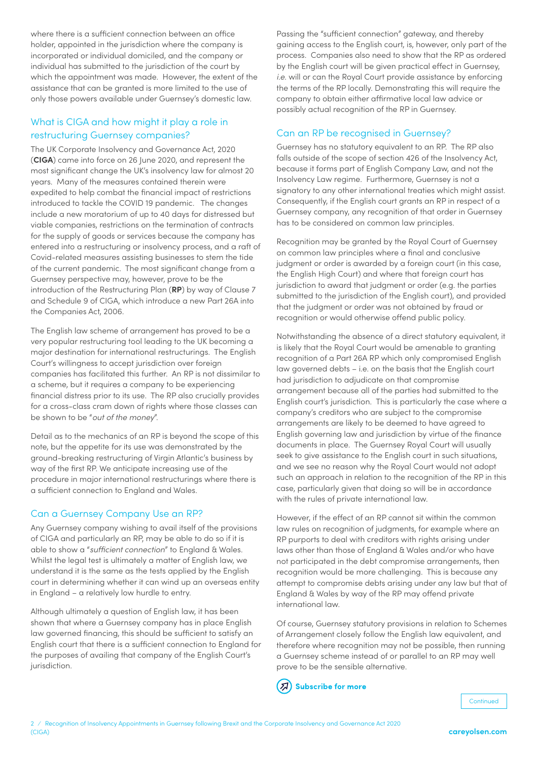where there is a sufficient connection between an office holder, appointed in the jurisdiction where the company is incorporated or individual domiciled, and the company or individual has submitted to the jurisdiction of the court by which the appointment was made. However, the extent of the assistance that can be granted is more limited to the use of only those powers available under Guernsey's domestic law.

# What is CIGA and how might it play a role in restructuring Guernsey companies?

The UK Corporate Insolvency and Governance Act, 2020 (**CIGA**) came into force on 26 June 2020, and represent the most significant change the UK's insolvency law for almost 20 years. Many of the measures contained therein were expedited to help combat the financial impact of restrictions introduced to tackle the COVID 19 pandemic. The changes include a new moratorium of up to 40 days for distressed but viable companies, restrictions on the termination of contracts for the supply of goods or services because the company has entered into a restructuring or insolvency process, and a raft of Covid-related measures assisting businesses to stem the tide of the current pandemic. The most significant change from a Guernsey perspective may, however, prove to be the introduction of the Restructuring Plan (**RP**) by way of Clause 7 and Schedule 9 of CIGA, which introduce a new Part 26A into the Companies Act, 2006.

The English law scheme of arrangement has proved to be a very popular restructuring tool leading to the UK becoming a major destination for international restructurings. The English Court's willingness to accept jurisdiction over foreign companies has facilitated this further. An RP is not dissimilar to a scheme, but it requires a company to be experiencing financial distress prior to its use. The RP also crucially provides for a cross-class cram down of rights where those classes can be shown to be "*out of the money*".

Detail as to the mechanics of an RP is beyond the scope of this note, but the appetite for its use was demonstrated by the ground-breaking restructuring of Virgin Atlantic's business by way of the first RP. We anticipate increasing use of the procedure in major international restructurings where there is a sufficient connection to England and Wales.

## Can a Guernsey Company Use an RP?

Any Guernsey company wishing to avail itself of the provisions of CIGA and particularly an RP, may be able to do so if it is able to show a "*sufficient connection*" to England & Wales. Whilst the legal test is ultimately a matter of English law, we understand it is the same as the tests applied by the English court in determining whether it can wind up an overseas entity in England – a relatively low hurdle to entry.

Although ultimately a question of English law, it has been shown that where a Guernsey company has in place English law governed financing, this should be sufficient to satisfy an English court that there is a sufficient connection to England for the purposes of availing that company of the English Court's jurisdiction.

Passing the "sufficient connection" gateway, and thereby gaining access to the English court, is, however, only part of the process. Companies also need to show that the RP as ordered by the English court will be given practical effect in Guernsey, *i.e*. will or can the Royal Court provide assistance by enforcing the terms of the RP locally. Demonstrating this will require the company to obtain either affirmative local law advice or possibly actual recognition of the RP in Guernsey.

# Can an RP be recognised in Guernsey?

Guernsey has no statutory equivalent to an RP. The RP also falls outside of the scope of section 426 of the Insolvency Act, because it forms part of English Company Law, and not the Insolvency Law regime. Furthermore, Guernsey is not a signatory to any other international treaties which might assist. Consequently, if the English court grants an RP in respect of a Guernsey company, any recognition of that order in Guernsey has to be considered on common law principles.

Recognition may be granted by the Royal Court of Guernsey on common law principles where a final and conclusive judgment or order is awarded by a foreign court (in this case, the English High Court) and where that foreign court has jurisdiction to award that judgment or order (e.g. the parties submitted to the jurisdiction of the English court), and provided that the judgment or order was not obtained by fraud or recognition or would otherwise offend public policy.

Notwithstanding the absence of a direct statutory equivalent, it is likely that the Royal Court would be amenable to granting recognition of a Part 26A RP which only compromised English law governed debts – i.e. on the basis that the English court had jurisdiction to adjudicate on that compromise arrangement because all of the parties had submitted to the English court's jurisdiction. This is particularly the case where a company's creditors who are subject to the compromise arrangements are likely to be deemed to have agreed to English governing law and jurisdiction by virtue of the finance documents in place. The Guernsey Royal Court will usually seek to give assistance to the English court in such situations, and we see no reason why the Royal Court would not adopt such an approach in relation to the recognition of the RP in this case, particularly given that doing so will be in accordance with the rules of private international law.

However, if the effect of an RP cannot sit within the common law rules on recognition of judgments, for example where an RP purports to deal with creditors with rights arising under laws other than those of England & Wales and/or who have not participated in the debt compromise arrangements, then recognition would be more challenging. This is because any attempt to compromise debts arising under any law but that of England & Wales by way of the RP may offend private international law.

Of course, Guernsey statutory provisions in relation to Schemes of Arrangement closely follow the English law equivalent, and therefore where recognition may not be possible, then running a Guernsey scheme instead of or parallel to an RP may well prove to be the sensible alternative.

ี่ Я **Subscribe for more**